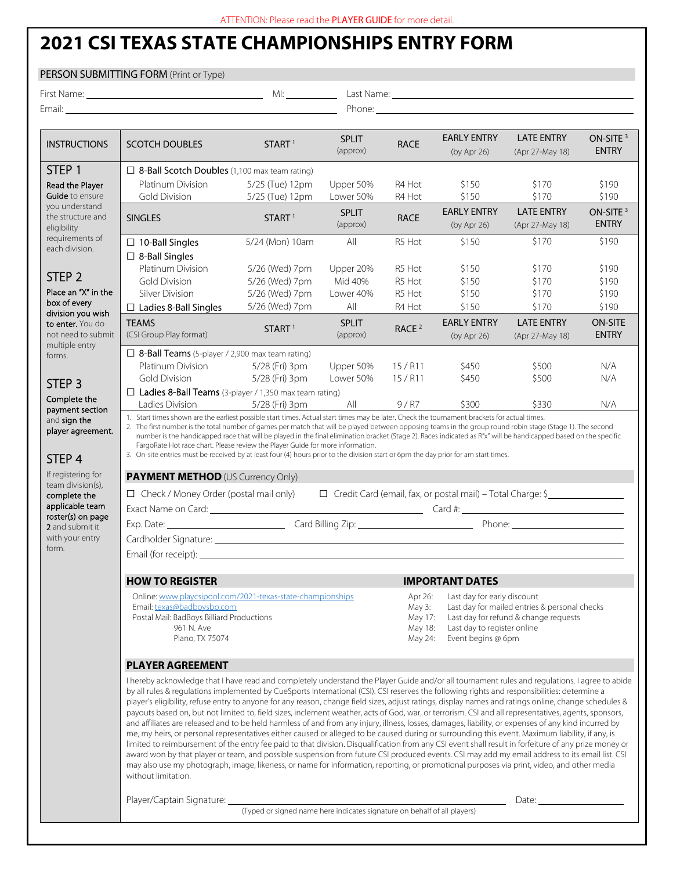## **2021 CSI TEXAS STATE CHAMPIONSHIPS ENTRY FORM**

## PERSON SUBMITTING FORM (Print or Type) First Name: MI: Last Name:

STEP 1 Read the Player Guide to ensure you understand the structure and eligibility requirements of each division.

STEP 2 Place an "X" in the box of every division you wish to enter. You do not need to submit multiple entry forms.

STEP 3 Complete the payment section and sign the player agreement.

STEP 4 If registering for team division(s), complete the applicable team roster(s) on page 2 and submit it

form.

Email: Phone: Phone: Phone: Phone: Phone: Phone: Phone: Phone: Phone: Phone: Phone: Phone: Phone: Phone: Phone: Phone: Phone: Phone: Phone: Phone: Phone: Phone: Phone: Phone: Phone: Phone: Phone: Phone: Phone: Phone: Phone INSTRUCTIONS SCOTCH DOUBLES START<sup>1</sup> SPLIT RACE EARLY ENTRY (by Apr 26) LATE ENTRY (Apr 27-May 18) ON-SITE<sup>3</sup> ENTRY □ 8-Ball Scotch Doubles (1,100 max team rating) Platinum Division 5/25 (Tue) 12pm Upper 50% R4 Hot \$150 \$170 \$190 Gold Division 5/25 (Tue) 12pm Lower 50% R4 Hot \$150 \$170 \$190 SINGLES START<sup>1</sup> SPLIT **SPLIT**<br>(approx) **RACE** (by Apr 26) (by Apr 26) LATE ENTRY (Apr 27-May 18) ON-SITE<sup>3</sup> ENTRY □ 10-Ball Singles 5/24 (Mon) 10am All R5 Hot \$150 \$170 \$190 ☐ 8-Ball Singles Platinum Division 5/26 (Wed) 7pm Upper 20% R5 Hot \$150 \$170 \$190 Gold Division 5/26 (Wed) 7pm Mid 40% R5 Hot \$150 \$170 \$190 Silver Division 5/26 (Wed) 7pm Lower 40% R5 Hot \$150 \$170 \$190  $\Box$  Ladies 8-Ball Singles 5/26 (Wed) 7pm All R4 Hot \$150 \$170 \$190 TEAMS **TEAMS** SPLIT<br>
(CSI Group Play format) START <sup>1</sup> (approx) RACE<sup>2</sup> EARLY ENTRY (by Apr 26) LATE ENTRY (Apr 27-May 18) ON-SITE ENTRY ☐ 8-Ball Teams (5-player / 2,900 max team rating) Platinum Division 5/28 (Fri) 3pm Upper 50% 15 / R11 \$450 \$500 N/A Gold Division 5/28 (Fri) 3pm Lower 50% 15 / R11 \$450 \$500 N/A ☐ Ladies 8-Ball Teams (3-player / 1,350 max team rating) Ladies Division 5/28 (Fri) 3pm All 9/R7 \$300 \$330 N/A 1. Start times shown are the earliest possible start times. Actual start times may be later. Check the tournament brackets for actual times. 2. The first number is the total number of games per match that will be played between opposing teams in the group round robin stage (Stage 1). The second number is the handicapped race that will be played in the final elimination bracket (Stage 2). Races indicated as R"x" will be handicapped based on the specific FargoRate Hot race chart. Please review the Player Guide for more information. 3. On-site entries must be received by at least four (4) hours prior to the division start or 6pm the day prior for am start times. **PAYMENT METHOD** (US Currency Only) ☐ Check / Money Order (postal mail only) ☐ Credit Card (email, fax, or postal mail) – Total Charge: \$ Exact Name on Card: Card #: Card #:

with your entry Cardholder Signature: Email (for receipt):

**PLAYER AGREEMENT**

Email: texas@badboysbp.com Postal Mail: BadBoys Billiard Productions 961 N. Ave Plano, TX 75074

I hereby acknowledge that I have read and completely understand the Player Guide and/or all tournament rules and regulations. I agree to abide by all rules & regulations implemented by CueSports International (CSI). CSI reserves the following rights and responsibilities: determine a player's eligibility, refuse entry to anyone for any reason, change field sizes, adjust ratings, display names and ratings online, change schedules & payouts based on, but not limited to, field sizes, inclement weather, acts of God, war, or terrorism. CSI and all representatives, agents, sponsors, and affiliates are released and to be held harmless of and from any injury, illness, losses, damages, liability, or expenses of any kind incurred by me, my heirs, or personal representatives either caused or alleged to be caused during or surrounding this event. Maximum liability, if any, is limited to reimbursement of the entry fee paid to that division. Disqualification from any CSI event shall result in forfeiture of any prize money or award won by that player or team, and possible suspension from future CSI produced events. CSI may add my email address to its email list. CSI may also use my photograph, image, likeness, or name for information, reporting, or promotional purposes via print, video, and other media without limitation.

Exp. Date: exp. Date: exp. Date: exp. Date: exp. Date: exp. Date: exp. Date: exp. Date: exp. Date: exp. Date: exp. Date: exp. Date: exp. Date: exp. Date: exp. Date: exp. Date: exp. Date: exp. Date: exp. Date: exp. Date: ex

**HOW TO REGISTER IMPORTANT DATES**

Online: www.playcsipool.com/2021-texas-state-championships

Player/Captain Signature: Date: Date: Date: Date: Date: Date: Date: Date: Date: Date: Date: Date: Date: Date: Date: Date: Date: Date: Date: Date: Date: Date: Date: Date: Date: Date: Date: Date: Date: Date: Date: Date: Date

(Typed or signed name here indicates signature on behalf of all players)

Apr 26: Last day for early discount

May 24: Event begins @ 6pm

May 3: Last day for mailed entries & personal checks<br>May 17: Last day for refund & change requests May 17: Last day for refund & change requests<br>May 18: Last day to register online Last day to register online